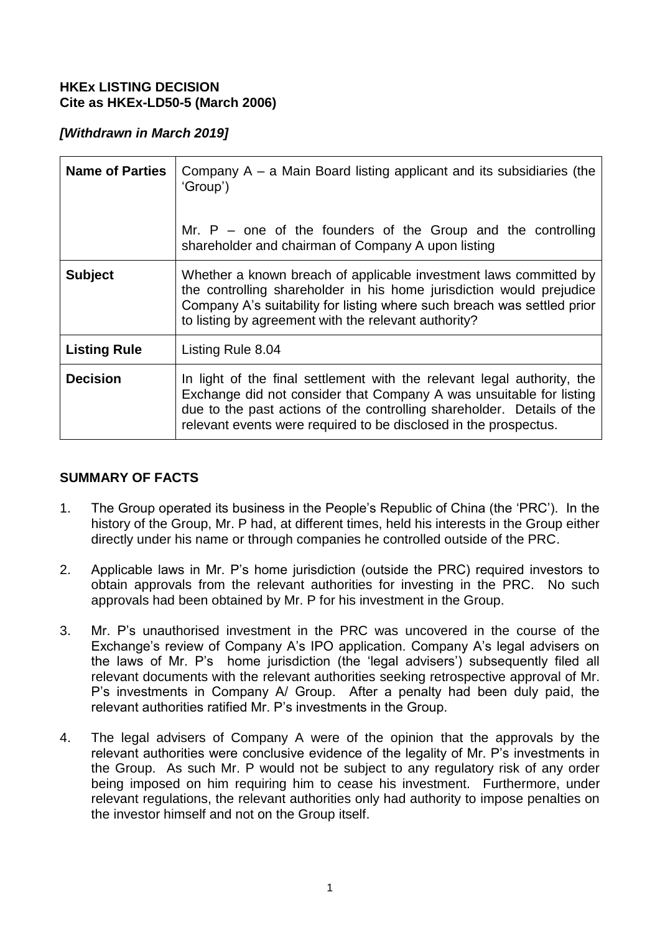### **HKEx LISTING DECISION Cite as HKEx-LD50-5 (March 2006)**

# *[Withdrawn in March 2019]*

| <b>Name of Parties</b> | Company $A - a$ Main Board listing applicant and its subsidiaries (the<br>'Group')<br>Mr. $P$ – one of the founders of the Group and the controlling<br>shareholder and chairman of Company A upon listing                                                                                   |
|------------------------|----------------------------------------------------------------------------------------------------------------------------------------------------------------------------------------------------------------------------------------------------------------------------------------------|
| <b>Subject</b>         | Whether a known breach of applicable investment laws committed by<br>the controlling shareholder in his home jurisdiction would prejudice<br>Company A's suitability for listing where such breach was settled prior<br>to listing by agreement with the relevant authority?                 |
| <b>Listing Rule</b>    | Listing Rule 8.04                                                                                                                                                                                                                                                                            |
| <b>Decision</b>        | In light of the final settlement with the relevant legal authority, the<br>Exchange did not consider that Company A was unsuitable for listing<br>due to the past actions of the controlling shareholder. Details of the<br>relevant events were required to be disclosed in the prospectus. |

## **SUMMARY OF FACTS**

- 1. The Group operated its business in the People's Republic of China (the 'PRC'). In the history of the Group, Mr. P had, at different times, held his interests in the Group either directly under his name or through companies he controlled outside of the PRC.
- 2. Applicable laws in Mr. P's home jurisdiction (outside the PRC) required investors to obtain approvals from the relevant authorities for investing in the PRC. No such approvals had been obtained by Mr. P for his investment in the Group.
- 3. Mr. P's unauthorised investment in the PRC was uncovered in the course of the Exchange's review of Company A's IPO application. Company A's legal advisers on the laws of Mr. P's home jurisdiction (the 'legal advisers') subsequently filed all relevant documents with the relevant authorities seeking retrospective approval of Mr. P's investments in Company A/ Group. After a penalty had been duly paid, the relevant authorities ratified Mr. P's investments in the Group.
- 4. The legal advisers of Company A were of the opinion that the approvals by the relevant authorities were conclusive evidence of the legality of Mr. P's investments in the Group. As such Mr. P would not be subject to any regulatory risk of any order being imposed on him requiring him to cease his investment. Furthermore, under relevant regulations, the relevant authorities only had authority to impose penalties on the investor himself and not on the Group itself.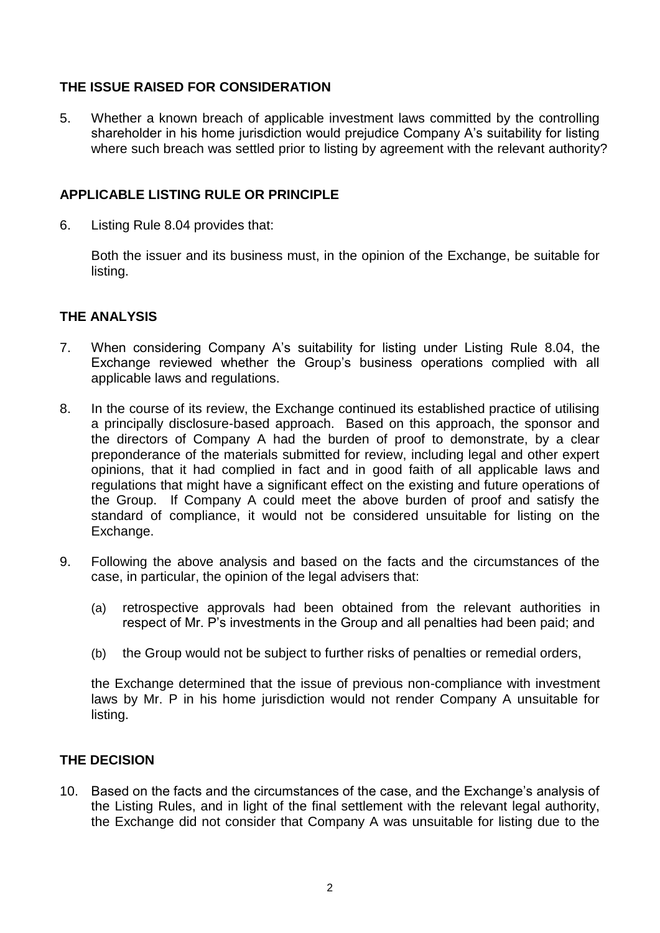# **THE ISSUE RAISED FOR CONSIDERATION**

5. Whether a known breach of applicable investment laws committed by the controlling shareholder in his home jurisdiction would prejudice Company A's suitability for listing where such breach was settled prior to listing by agreement with the relevant authority?

### **APPLICABLE LISTING RULE OR PRINCIPLE**

6. Listing Rule 8.04 provides that:

Both the issuer and its business must, in the opinion of the Exchange, be suitable for listing.

### **THE ANALYSIS**

- 7. When considering Company A's suitability for listing under Listing Rule 8.04, the Exchange reviewed whether the Group's business operations complied with all applicable laws and regulations.
- 8. In the course of its review, the Exchange continued its established practice of utilising a principally disclosure-based approach. Based on this approach, the sponsor and the directors of Company A had the burden of proof to demonstrate, by a clear preponderance of the materials submitted for review, including legal and other expert opinions, that it had complied in fact and in good faith of all applicable laws and regulations that might have a significant effect on the existing and future operations of the Group. If Company A could meet the above burden of proof and satisfy the standard of compliance, it would not be considered unsuitable for listing on the Exchange.
- 9. Following the above analysis and based on the facts and the circumstances of the case, in particular, the opinion of the legal advisers that:
	- (a) retrospective approvals had been obtained from the relevant authorities in respect of Mr. P's investments in the Group and all penalties had been paid; and
	- (b) the Group would not be subject to further risks of penalties or remedial orders,

the Exchange determined that the issue of previous non-compliance with investment laws by Mr. P in his home jurisdiction would not render Company A unsuitable for listing.

## **THE DECISION**

10. Based on the facts and the circumstances of the case, and the Exchange's analysis of the Listing Rules, and in light of the final settlement with the relevant legal authority, the Exchange did not consider that Company A was unsuitable for listing due to the